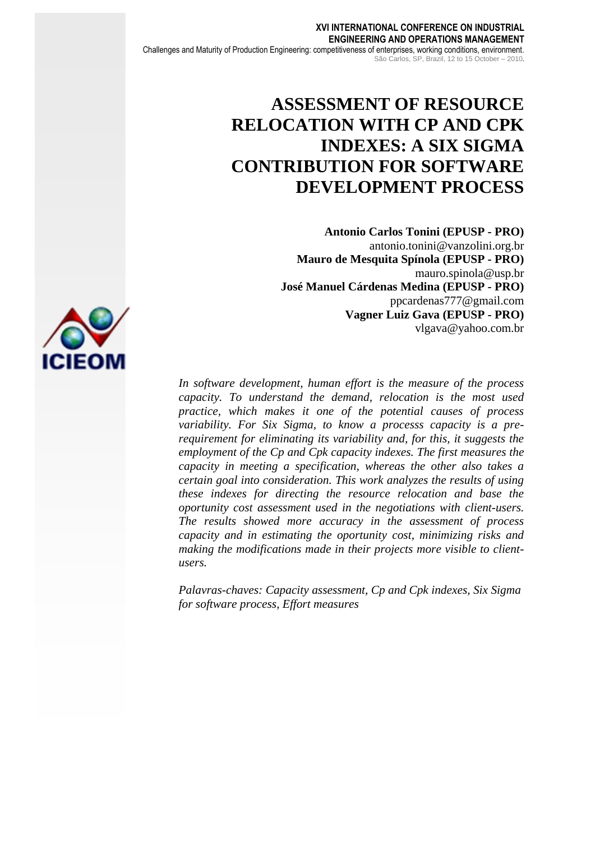# **ASSESSMENT OF RESOURCE RELOCATION WITH CP AND CPK INDEXES: A SIX SIGMA CONTRIBUTION FOR SOFTWARE DEVELOPMENT PROCESS**

**Antonio Carlos Tonini (EPUSP - PRO)** antonio.tonini@vanzolini.org.br **Mauro de Mesquita Spínola (EPUSP - PRO)** mauro.spinola@usp.br **José Manuel Cárdenas Medina (EPUSP - PRO)** ppcardenas777@gmail.com **Vagner Luiz Gava (EPUSP - PRO)** vlgava@yahoo.com.br

*In software development, human effort is the measure of the process capacity. To understand the demand, relocation is the most used practice, which makes it one of the potential causes of process variability. For Six Sigma, to know a processs capacity is a prerequirement for eliminating its variability and, for this, it suggests the employment of the Cp and Cpk capacity indexes. The first measures the capacity in meeting a specification, whereas the other also takes a certain goal into consideration. This work analyzes the results of using these indexes for directing the resource relocation and base the oportunity cost assessment used in the negotiations with client-users. The results showed more accuracy in the assessment of process capacity and in estimating the oportunity cost, minimizing risks and making the modifications made in their projects more visible to clientusers.*

*Palavras-chaves: Capacity assessment, Cp and Cpk indexes, Six Sigma for software process, Effort measures*

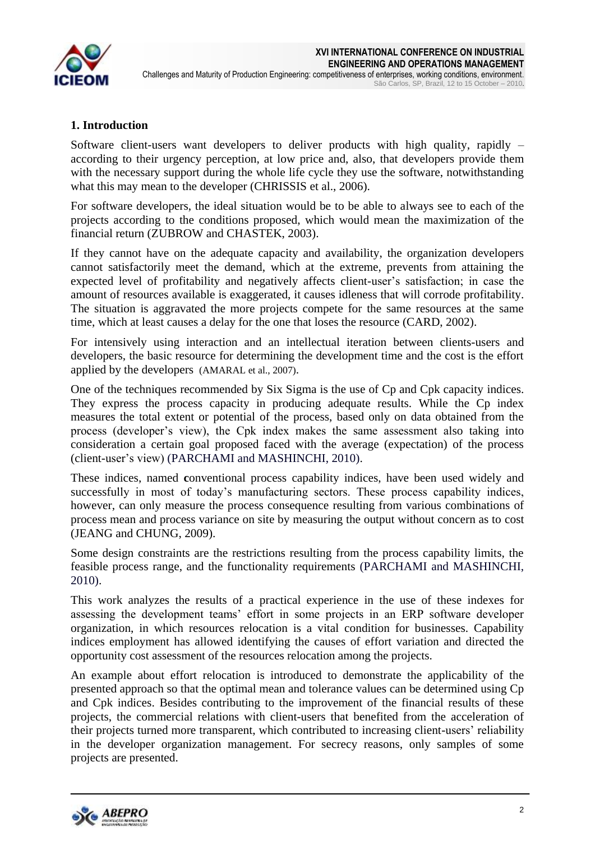

# **1. Introduction**

Software client-users want developers to deliver products with high quality, rapidly – according to their urgency perception, at low price and, also, that developers provide them with the necessary support during the whole life cycle they use the software, notwithstanding what this may mean to the developer (CHRISSIS et al., 2006).

For software developers, the ideal situation would be to be able to always see to each of the projects according to the conditions proposed, which would mean the maximization of the financial return (ZUBROW and CHASTEK, 2003).

If they cannot have on the adequate capacity and availability, the organization developers cannot satisfactorily meet the demand, which at the extreme, prevents from attaining the expected level of profitability and negatively affects client-user's satisfaction; in case the amount of resources available is exaggerated, it causes idleness that will corrode profitability. The situation is aggravated the more projects compete for the same resources at the same time, which at least causes a delay for the one that loses the resource (CARD, 2002).

For intensively using interaction and an intellectual iteration between clients-users and developers, the basic resource for determining the development time and the cost is the effort applied by the developers (AMARAL et al., 2007).

One of the techniques recommended by Six Sigma is the use of Cp and Cpk capacity indices. They express the process capacity in producing adequate results. While the Cp index measures the total extent or potential of the process, based only on data obtained from the process (developer's view), the Cpk index makes the same assessment also taking into consideration a certain goal proposed faced with the average (expectation) of the process (client-user's view) (PARCHAMI and MASHINCHI, 2010).

These indices, named **c**onventional process capability indices, have been used widely and successfully in most of today's manufacturing sectors. These process capability indices, however, can only measure the process consequence resulting from various combinations of process mean and process variance on site by measuring the output without concern as to cost (JEANG and CHUNG, 2009).

Some design constraints are the restrictions resulting from the process capability limits, the feasible process range, and the functionality requirements (PARCHAMI and MASHINCHI, 2010).

This work analyzes the results of a practical experience in the use of these indexes for assessing the development teams' effort in some projects in an ERP software developer organization, in which resources relocation is a vital condition for businesses. Capability indices employment has allowed identifying the causes of effort variation and directed the opportunity cost assessment of the resources relocation among the projects.

An example about effort relocation is introduced to demonstrate the applicability of the presented approach so that the optimal mean and tolerance values can be determined using Cp and Cpk indices. Besides contributing to the improvement of the financial results of these projects, the commercial relations with client-users that benefited from the acceleration of their projects turned more transparent, which contributed to increasing client-users' reliability in the developer organization management. For secrecy reasons, only samples of some projects are presented.

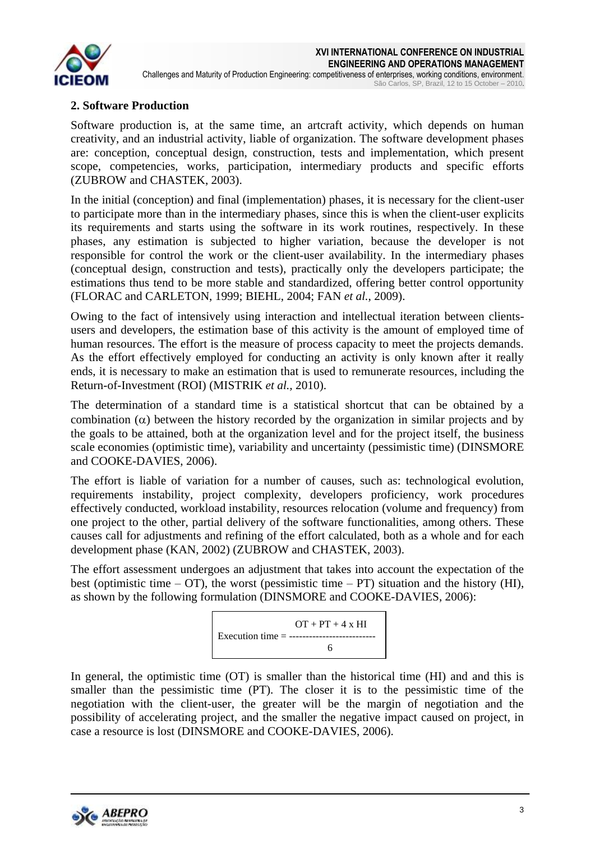

# **2. Software Production**

Software production is, at the same time, an artcraft activity, which depends on human creativity, and an industrial activity, liable of organization. The software development phases are: conception, conceptual design, construction, tests and implementation, which present scope, competencies, works, participation, intermediary products and specific efforts (ZUBROW and CHASTEK, 2003).

In the initial (conception) and final (implementation) phases, it is necessary for the client-user to participate more than in the intermediary phases, since this is when the client-user explicits its requirements and starts using the software in its work routines, respectively. In these phases, any estimation is subjected to higher variation, because the developer is not responsible for control the work or the client-user availability. In the intermediary phases (conceptual design, construction and tests), practically only the developers participate; the estimations thus tend to be more stable and standardized, offering better control opportunity (FLORAC and CARLETON, 1999; BIEHL, 2004; FAN *et al.*, 2009).

Owing to the fact of intensively using interaction and intellectual iteration between clientsusers and developers, the estimation base of this activity is the amount of employed time of human resources. The effort is the measure of process capacity to meet the projects demands. As the effort effectively employed for conducting an activity is only known after it really ends, it is necessary to make an estimation that is used to remunerate resources, including the Return-of-Investment (ROI) (MISTRIK *et al.,* 2010).

The determination of a standard time is a statistical shortcut that can be obtained by a combination  $(\alpha)$  between the history recorded by the organization in similar projects and by the goals to be attained, both at the organization level and for the project itself, the business scale economies (optimistic time), variability and uncertainty (pessimistic time) (DINSMORE and COOKE-DAVIES, 2006).

The effort is liable of variation for a number of causes, such as: technological evolution, requirements instability, project complexity, developers proficiency, work procedures effectively conducted, workload instability, resources relocation (volume and frequency) from one project to the other, partial delivery of the software functionalities, among others. These causes call for adjustments and refining of the effort calculated, both as a whole and for each development phase (KAN, 2002) (ZUBROW and CHASTEK, 2003).

The effort assessment undergoes an adjustment that takes into account the expectation of the best (optimistic time  $-$  OT), the worst (pessimistic time  $-$  PT) situation and the history (HI), as shown by the following formulation (DINSMORE and COOKE-DAVIES, 2006):



In general, the optimistic time (OT) is smaller than the historical time (HI) and and this is smaller than the pessimistic time (PT). The closer it is to the pessimistic time of the negotiation with the client-user, the greater will be the margin of negotiation and the possibility of accelerating project, and the smaller the negative impact caused on project, in case a resource is lost (DINSMORE and COOKE-DAVIES, 2006).

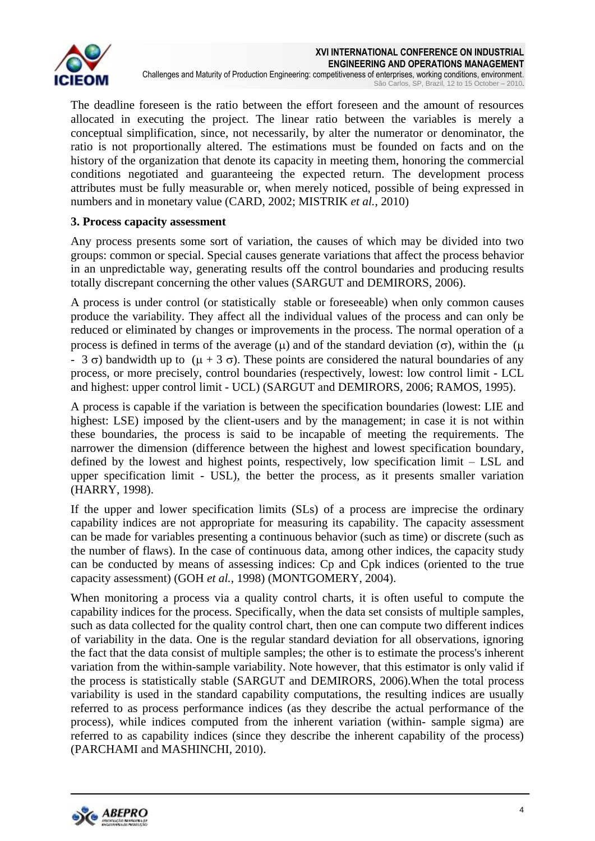

The deadline foreseen is the ratio between the effort foreseen and the amount of resources allocated in executing the project. The linear ratio between the variables is merely a conceptual simplification, since, not necessarily, by alter the numerator or denominator, the ratio is not proportionally altered. The estimations must be founded on facts and on the history of the organization that denote its capacity in meeting them, honoring the commercial conditions negotiated and guaranteeing the expected return. The development process attributes must be fully measurable or, when merely noticed, possible of being expressed in numbers and in monetary value (CARD, 2002; MISTRIK *et al.*, 2010)

# **3. Process capacity assessment**

Any process presents some sort of variation, the causes of which may be divided into two groups: common or special. Special causes generate variations that affect the process behavior in an unpredictable way, generating results off the control boundaries and producing results totally discrepant concerning the other values (SARGUT and DEMIRORS, 2006).

A process is under control (or statistically stable or foreseeable) when only common causes produce the variability. They affect all the individual values of the process and can only be reduced or eliminated by changes or improvements in the process. The normal operation of a process is defined in terms of the average ( $\mu$ ) and of the standard deviation ( $\sigma$ ), within the ( $\mu$ )  $-$  3  $\sigma$ ) bandwidth up to ( $\mu$  + 3  $\sigma$ ). These points are considered the natural boundaries of any process, or more precisely, control boundaries (respectively, lowest: low control limit - LCL and highest: upper control limit - UCL) (SARGUT and DEMIRORS, 2006; RAMOS, 1995).

A process is capable if the variation is between the specification boundaries (lowest: LIE and highest: LSE) imposed by the client-users and by the management; in case it is not within these boundaries, the process is said to be incapable of meeting the requirements. The narrower the dimension (difference between the highest and lowest specification boundary, defined by the lowest and highest points, respectively, low specification limit – LSL and upper specification limit - USL), the better the process, as it presents smaller variation (HARRY, 1998).

If the upper and lower specification limits (SLs) of a process are imprecise the ordinary capability indices are not appropriate for measuring its capability. The capacity assessment can be made for variables presenting a continuous behavior (such as time) or discrete (such as the number of flaws). In the case of continuous data, among other indices, the capacity study can be conducted by means of assessing indices: Cp and Cpk indices (oriented to the true capacity assessment) (GOH *et al.*, 1998) (MONTGOMERY, 2004).

When monitoring a process via a quality control charts, it is often useful to compute the capability indices for the process. Specifically, when the data set consists of multiple samples, such as data collected for the quality control chart, then one can compute two different indices of variability in the data. One is the regular standard deviation for all observations, ignoring the fact that the data consist of multiple samples; the other is to estimate the process's inherent variation from the within-sample variability. Note however, that this estimator is only valid if the process is statistically stable (SARGUT and DEMIRORS, 2006).When the total process variability is used in the standard capability computations, the resulting indices are usually referred to as process performance indices (as they describe the actual performance of the process), while indices computed from the inherent variation (within- sample sigma) are referred to as capability indices (since they describe the inherent capability of the process) (PARCHAMI and MASHINCHI, 2010).

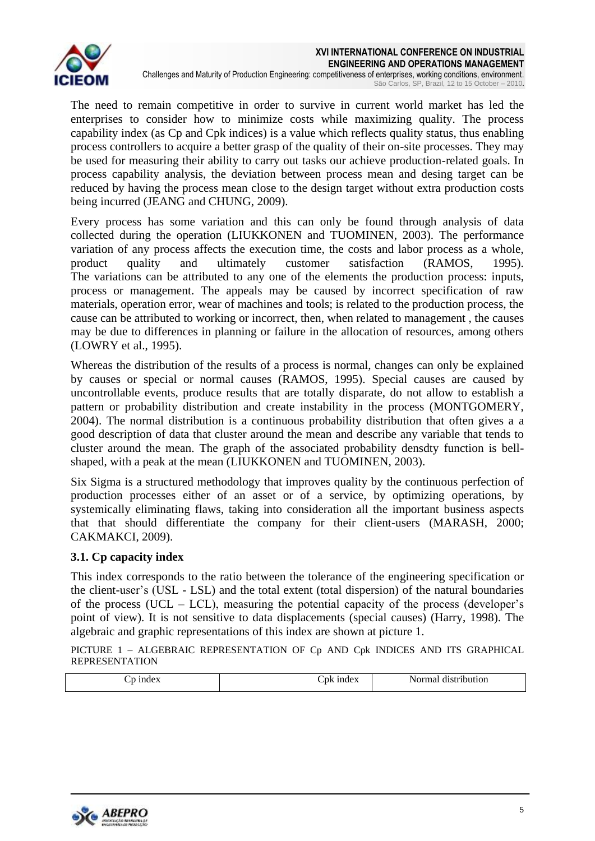

The need to remain competitive in order to survive in current world market has led the enterprises to consider how to minimize costs while maximizing quality. The process capability index (as Cp and Cpk indices) is a value which reflects quality status, thus enabling process controllers to acquire a better grasp of the quality of their on-site processes. They may be used for measuring their ability to carry out tasks our achieve production-related goals. In process capability analysis, the deviation between process mean and desing target can be reduced by having the process mean close to the design target without extra production costs being incurred (JEANG and CHUNG, 2009).

Every process has some variation and this can only be found through analysis of data collected during the operation (LIUKKONEN and TUOMINEN, 2003). The performance variation of any process affects the execution time, the costs and labor process as a whole, product quality and ultimately customer satisfaction (RAMOS, 1995). The variations can be attributed to any one of the elements the production process: inputs, process or management. The appeals may be caused by incorrect specification of raw materials, operation error, wear of machines and tools; is related to the production process, the cause can be attributed to working or incorrect, then, when related to management , the causes may be due to differences in planning or failure in the allocation of resources, among others (LOWRY et al., 1995).

Whereas the distribution of the results of a process is normal, changes can only be explained by causes or special or normal causes (RAMOS, 1995). Special causes are caused by uncontrollable events, produce results that are totally disparate, do not allow to establish a pattern or probability distribution and create instability in the process (MONTGOMERY, 2004). The normal distribution is a continuous probability distribution that often gives a a good description of data that cluster around the mean and describe any variable that tends to cluster around the mean. The graph of the associated probability densdty function is bellshaped, with a peak at the mean (LIUKKONEN and TUOMINEN, 2003).

Six Sigma is a structured methodology that improves quality by the continuous perfection of production processes either of an asset or of a service, by optimizing operations, by systemically eliminating flaws, taking into consideration all the important business aspects that that should differentiate the company for their client-users (MARASH, 2000; CAKMAKCI, 2009).

# **3.1. Cp capacity index**

This index corresponds to the ratio between the tolerance of the engineering specification or the client-user's (USL - LSL) and the total extent (total dispersion) of the natural boundaries of the process (UCL – LCL), measuring the potential capacity of the process (developer's point of view). It is not sensitive to data displacements (special causes) (Harry, 1998). The algebraic and graphic representations of this index are shown at picture 1.

PICTURE 1 – ALGEBRAIC REPRESENTATION OF Cp AND Cpk INDICES AND ITS GRAPHICAL REPRESENTATION

|  | $\sim$<br>.nk<br>mae | N.<br>.<br>uon<br>ни<br>. |
|--|----------------------|---------------------------|
|--|----------------------|---------------------------|

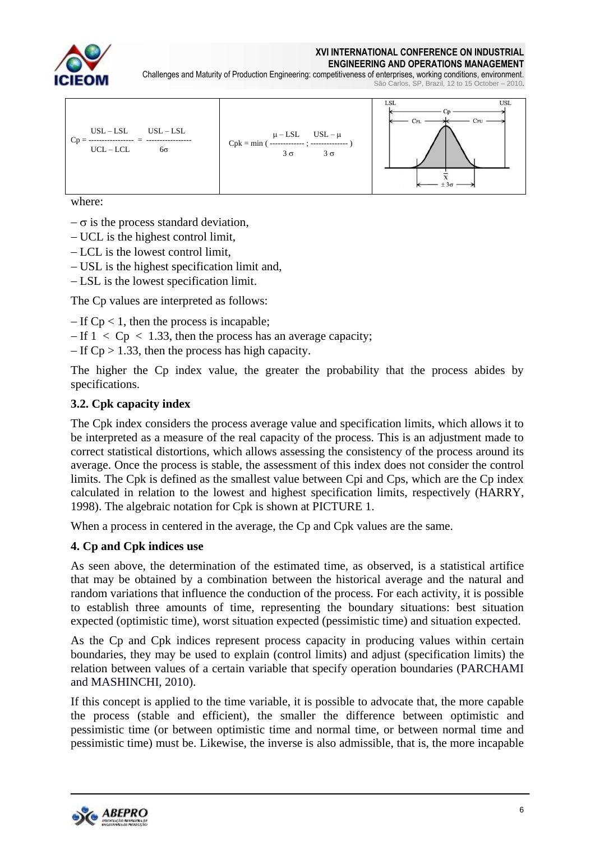

#### **XVI INTERNATIONAL CONFERENCE ON INDUSTRIAL ENGINEERING AND OPERATIONS MANAGEMENT**

Challenges and Maturity of Production Engineering: competitiveness of enterprises, working conditions, environment. São Carlos, SP, Brazil, 12 to 15 October – 2010.



where:

- $-\sigma$  is the process standard deviation,
- UCL is the highest control limit,
- $-LCL$  is the lowest control limit.
- USL is the highest specification limit and,
- LSL is the lowest specification limit.

The Cp values are interpreted as follows:

 $-If Cp < 1$ , then the process is incapable;

 $-If$  1  $\lt$  Cp  $\lt$  1.33, then the process has an average capacity;

 $-If Cp > 1.33$ , then the process has high capacity.

The higher the Cp index value, the greater the probability that the process abides by specifications.

# **3.2. Cpk capacity index**

The Cpk index considers the process average value and specification limits, which allows it to be interpreted as a measure of the real capacity of the process. This is an adjustment made to correct statistical distortions, which allows assessing the consistency of the process around its average. Once the process is stable, the assessment of this index does not consider the control limits. The Cpk is defined as the smallest value between Cpi and Cps, which are the Cp index calculated in relation to the lowest and highest specification limits, respectively (HARRY, 1998). The algebraic notation for Cpk is shown at PICTURE 1.

When a process in centered in the average, the Cp and Cpk values are the same.

# **4. Cp and Cpk indices use**

As seen above, the determination of the estimated time, as observed, is a statistical artifice that may be obtained by a combination between the historical average and the natural and random variations that influence the conduction of the process. For each activity, it is possible to establish three amounts of time, representing the boundary situations: best situation expected (optimistic time), worst situation expected (pessimistic time) and situation expected.

As the Cp and Cpk indices represent process capacity in producing values within certain boundaries, they may be used to explain (control limits) and adjust (specification limits) the relation between values of a certain variable that specify operation boundaries (PARCHAMI and MASHINCHI, 2010).

If this concept is applied to the time variable, it is possible to advocate that, the more capable the process (stable and efficient), the smaller the difference between optimistic and pessimistic time (or between optimistic time and normal time, or between normal time and pessimistic time) must be. Likewise, the inverse is also admissible, that is, the more incapable

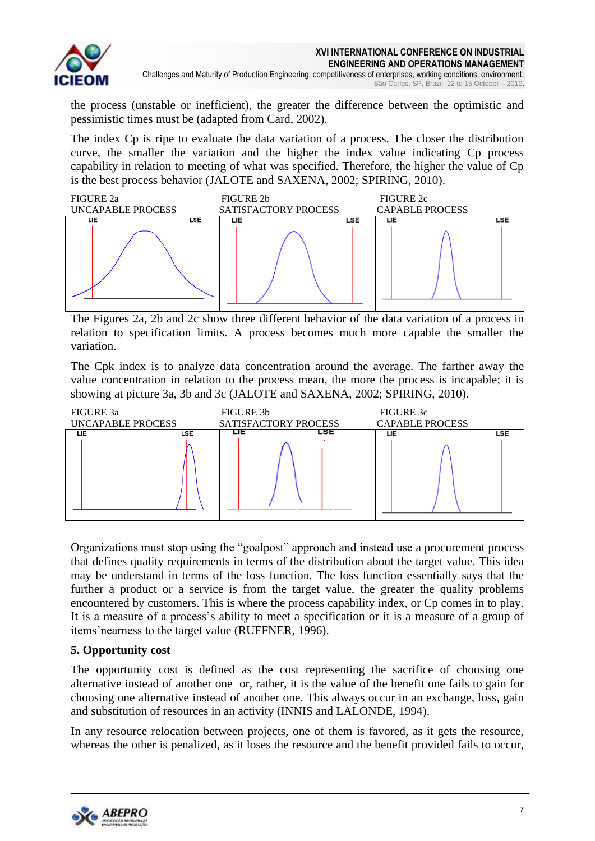

the process (unstable or inefficient), the greater the difference between the optimistic and pessimistic times must be (adapted from Card, 2002).

The index Cp is ripe to evaluate the data variation of a process. The closer the distribution curve, the smaller the variation and the higher the index value indicating Cp process capability in relation to meeting of what was specified. Therefore, the higher the value of Cp is the best process behavior (JALOTE and SAXENA, 2002; SPIRING, 2010).



The Figures 2a, 2b and 2c show three different behavior of the data variation of a process in relation to specification limits. A process becomes much more capable the smaller the variation.

The Cpk index is to analyze data concentration around the average. The farther away the value concentration in relation to the process mean, the more the process is incapable; it is showing at picture 3a, 3b and 3c (JALOTE and SAXENA, 2002; SPIRING, 2010).



Organizations must stop using the "goalpost" approach and instead use a procurement process that defines quality requirements in terms of the distribution about the target value. This idea may be understand in terms of the loss function. The loss function essentially says that the further a product or a service is from the target value, the greater the quality problems encountered by customers. This is where the process capability index, or Cp comes in to play. It is a measure of a process's ability to meet a specification or it is a measure of a group of items'nearness to the target value (RUFFNER, 1996).

# **5. Opportunity cost**

The opportunity cost is defined as the cost representing the sacrifice of choosing one alternative instead of another one or, rather, it is the value of the benefit one fails to gain for choosing one alternative instead of another one. This always occur in an exchange, loss, gain and substitution of resources in an activity (INNIS and LALONDE, 1994).

In any resource relocation between projects, one of them is favored, as it gets the resource, whereas the other is penalized, as it loses the resource and the benefit provided fails to occur,

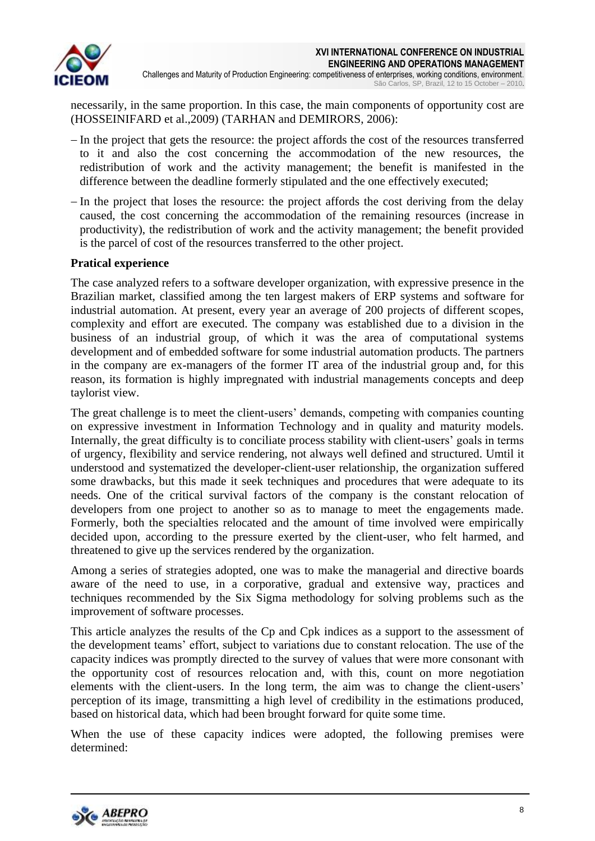

São Carlos, SP, Brazil, 12 to 15 October – 2010.

necessarily, in the same proportion. In this case, the main components of opportunity cost are (HOSSEINIFARD et al.,2009) (TARHAN and DEMIRORS, 2006):

- In the project that gets the resource: the project affords the cost of the resources transferred to it and also the cost concerning the accommodation of the new resources, the redistribution of work and the activity management; the benefit is manifested in the difference between the deadline formerly stipulated and the one effectively executed;
- In the project that loses the resource: the project affords the cost deriving from the delay caused, the cost concerning the accommodation of the remaining resources (increase in productivity), the redistribution of work and the activity management; the benefit provided is the parcel of cost of the resources transferred to the other project.

# **Pratical experience**

The case analyzed refers to a software developer organization, with expressive presence in the Brazilian market, classified among the ten largest makers of ERP systems and software for industrial automation. At present, every year an average of 200 projects of different scopes, complexity and effort are executed. The company was established due to a division in the business of an industrial group, of which it was the area of computational systems development and of embedded software for some industrial automation products. The partners in the company are ex-managers of the former IT area of the industrial group and, for this reason, its formation is highly impregnated with industrial managements concepts and deep taylorist view.

The great challenge is to meet the client-users' demands, competing with companies counting on expressive investment in Information Technology and in quality and maturity models. Internally, the great difficulty is to conciliate process stability with client-users' goals in terms of urgency, flexibility and service rendering, not always well defined and structured. Umtil it understood and systematized the developer-client-user relationship, the organization suffered some drawbacks, but this made it seek techniques and procedures that were adequate to its needs. One of the critical survival factors of the company is the constant relocation of developers from one project to another so as to manage to meet the engagements made. Formerly, both the specialties relocated and the amount of time involved were empirically decided upon, according to the pressure exerted by the client-user, who felt harmed, and threatened to give up the services rendered by the organization.

Among a series of strategies adopted, one was to make the managerial and directive boards aware of the need to use, in a corporative, gradual and extensive way, practices and techniques recommended by the Six Sigma methodology for solving problems such as the improvement of software processes.

This article analyzes the results of the Cp and Cpk indices as a support to the assessment of the development teams' effort, subject to variations due to constant relocation. The use of the capacity indices was promptly directed to the survey of values that were more consonant with the opportunity cost of resources relocation and, with this, count on more negotiation elements with the client-users. In the long term, the aim was to change the client-users' perception of its image, transmitting a high level of credibility in the estimations produced, based on historical data, which had been brought forward for quite some time.

When the use of these capacity indices were adopted, the following premises were determined:

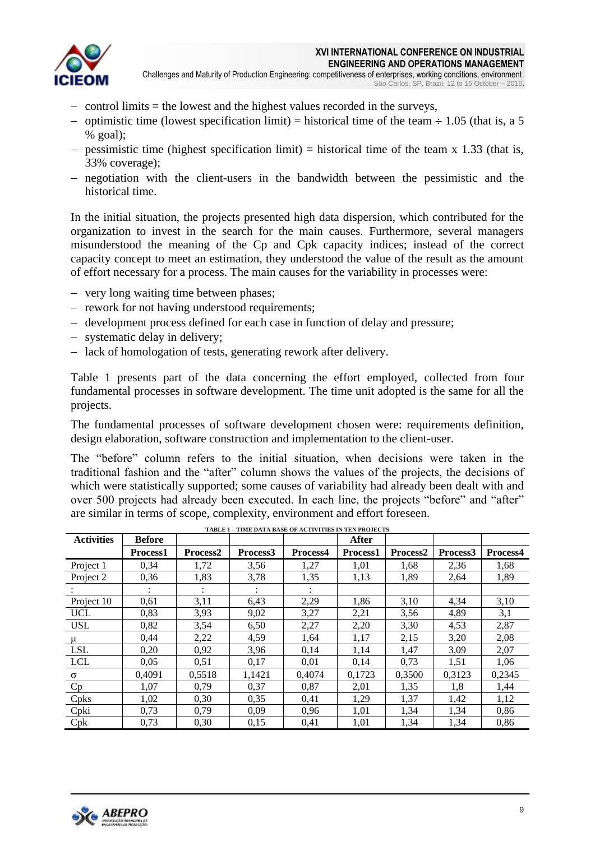

- $\alpha$  control limits = the lowest and the highest values recorded in the surveys,
- optimistic time (lowest specification limit) = historical time of the team  $\div$  1.05 (that is, a 5  $%$  goal);
- pessimistic time (highest specification limit) = historical time of the team x 1.33 (that is, 33% coverage);
- negotiation with the client-users in the bandwidth between the pessimistic and the historical time.

In the initial situation, the projects presented high data dispersion, which contributed for the organization to invest in the search for the main causes. Furthermore, several managers misunderstood the meaning of the Cp and Cpk capacity indices; instead of the correct capacity concept to meet an estimation, they understood the value of the result as the amount of effort necessary for a process. The main causes for the variability in processes were:

- very long waiting time between phases;
- rework for not having understood requirements;
- development process defined for each case in function of delay and pressure;
- systematic delay in delivery:
- lack of homologation of tests, generating rework after delivery.

Table 1 presents part of the data concerning the effort employed, collected from four fundamental processes in software development. The time unit adopted is the same for all the projects.

The fundamental processes of software development chosen were: requirements definition, design elaboration, software construction and implementation to the client-user.

The "before" column refers to the initial situation, when decisions were taken in the traditional fashion and the "after" column shows the values of the projects, the decisions of which were statistically supported; some causes of variability had already been dealt with and over 500 projects had already been executed. In each line, the projects "before" and "after" are similar in terms of scope, complexity, environment and effort foreseen.

| <b>Activities</b> | <b>Before</b>   |          | TABLE I = TIME DATA BASE OF ACTIVITIES IN TENT ROJECTS |          | <b>After</b>    |          |          |          |
|-------------------|-----------------|----------|--------------------------------------------------------|----------|-----------------|----------|----------|----------|
|                   | <b>Process1</b> | Process2 | Process3                                               | Process4 | <b>Process1</b> | Process2 | Process3 | Process4 |
| Project 1         | 0,34            | 1,72     | 3,56                                                   | 1,27     | 1,01            | 1,68     | 2,36     | 1,68     |
| Project 2         | 0,36            | 1,83     | 3,78                                                   | 1,35     | 1,13            | 1,89     | 2,64     | 1,89     |
|                   |                 |          |                                                        |          |                 |          |          |          |
| Project 10        | 0.61            | 3,11     | 6,43                                                   | 2,29     | 1,86            | 3,10     | 4,34     | 3,10     |
| <b>UCL</b>        | 0,83            | 3,93     | 9,02                                                   | 3,27     | 2,21            | 3,56     | 4,89     | 3,1      |
| <b>USL</b>        | 0,82            | 3,54     | 6,50                                                   | 2,27     | 2,20            | 3,30     | 4,53     | 2,87     |
| $\mu$             | 0,44            | 2,22     | 4,59                                                   | 1,64     | 1,17            | 2,15     | 3,20     | 2,08     |
| <b>LSL</b>        | 0,20            | 0,92     | 3,96                                                   | 0,14     | 1,14            | 1,47     | 3,09     | 2,07     |
| <b>LCL</b>        | 0,05            | 0,51     | 0,17                                                   | 0,01     | 0,14            | 0.73     | 1,51     | 1,06     |
| σ                 | 0.4091          | 0,5518   | 1,1421                                                 | 0,4074   | 0,1723          | 0,3500   | 0,3123   | 0,2345   |
| Cp                | 1,07            | 0,79     | 0,37                                                   | 0,87     | 2,01            | 1,35     | 1,8      | 1,44     |
| Cpks              | 1,02            | 0,30     | 0,35                                                   | 0,41     | 1,29            | 1,37     | 1,42     | 1,12     |
| Cpki              | 0,73            | 0,79     | 0,09                                                   | 0,96     | 1,01            | 1,34     | 1,34     | 0,86     |
| Cpk               | 0,73            | 0,30     | 0,15                                                   | 0,41     | 1,01            | 1,34     | 1,34     | 0,86     |

**TABLE 1 – TIME DATA BASE OF ACTIVITIES IN TEN PROJECTS**

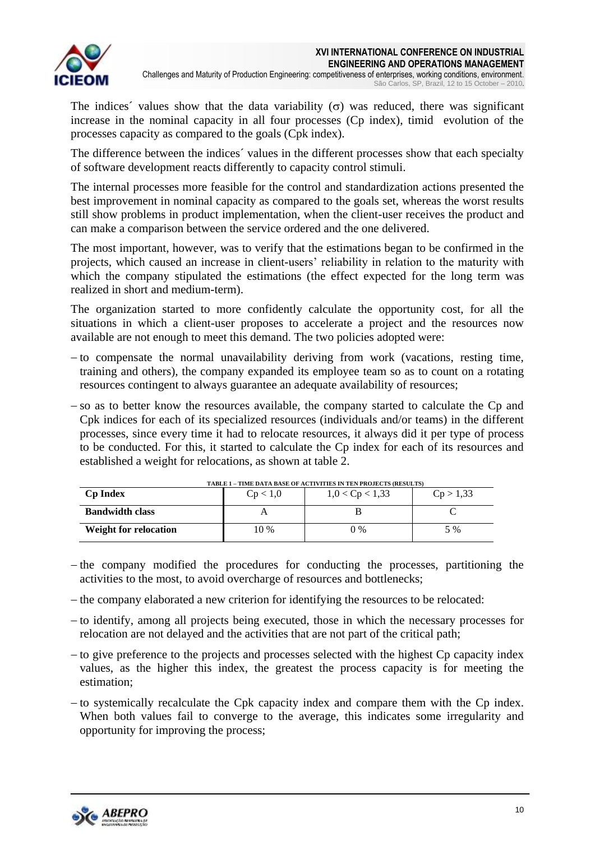

The indices<sup> $\prime$ </sup> values show that the data variability ( $\sigma$ ) was reduced, there was significant increase in the nominal capacity in all four processes (Cp index), timid evolution of the processes capacity as compared to the goals (Cpk index).

The difference between the indices´ values in the different processes show that each specialty of software development reacts differently to capacity control stimuli.

The internal processes more feasible for the control and standardization actions presented the best improvement in nominal capacity as compared to the goals set, whereas the worst results still show problems in product implementation, when the client-user receives the product and can make a comparison between the service ordered and the one delivered.

The most important, however, was to verify that the estimations began to be confirmed in the projects, which caused an increase in client-users' reliability in relation to the maturity with which the company stipulated the estimations (the effect expected for the long term was realized in short and medium-term).

The organization started to more confidently calculate the opportunity cost, for all the situations in which a client-user proposes to accelerate a project and the resources now available are not enough to meet this demand. The two policies adopted were:

- $-$  to compensate the normal unavailability deriving from work (vacations, resting time, training and others), the company expanded its employee team so as to count on a rotating resources contingent to always guarantee an adequate availability of resources;
- $-$  so as to better know the resources available, the company started to calculate the  $Cp$  and Cpk indices for each of its specialized resources (individuals and/or teams) in the different processes, since every time it had to relocate resources, it always did it per type of process to be conducted. For this, it started to calculate the Cp index for each of its resources and established a weight for relocations, as shown at table 2.

| TABLE 1 – TIME DATA BASE OF ACTIVITIES IN TEN PROJECTS (RESULTS) |          |                     |           |
|------------------------------------------------------------------|----------|---------------------|-----------|
| <b>Cp Index</b>                                                  | Cp < 1.0 | $1,0 <$ Cp $< 1,33$ | Cp > 1,33 |
| <b>Bandwidth class</b>                                           |          |                     |           |
| <b>Weight for relocation</b>                                     | 10 %     | $0\%$               | 5 %       |

**TABLE 1 – TIME DATA BASE OF ACTIVITIES IN TEN PROJECTS (RESULTS)**

- $-$  the company modified the procedures for conducting the processes, partitioning the activities to the most, to avoid overcharge of resources and bottlenecks;
- the company elaborated a new criterion for identifying the resources to be relocated:
- $-$  to identify, among all projects being executed, those in which the necessary processes for relocation are not delayed and the activities that are not part of the critical path;
- $-$  to give preference to the projects and processes selected with the highest  $C_p$  capacity index values, as the higher this index, the greatest the process capacity is for meeting the estimation;
- $-$  to systemically recalculate the Cpk capacity index and compare them with the Cp index. When both values fail to converge to the average, this indicates some irregularity and opportunity for improving the process;

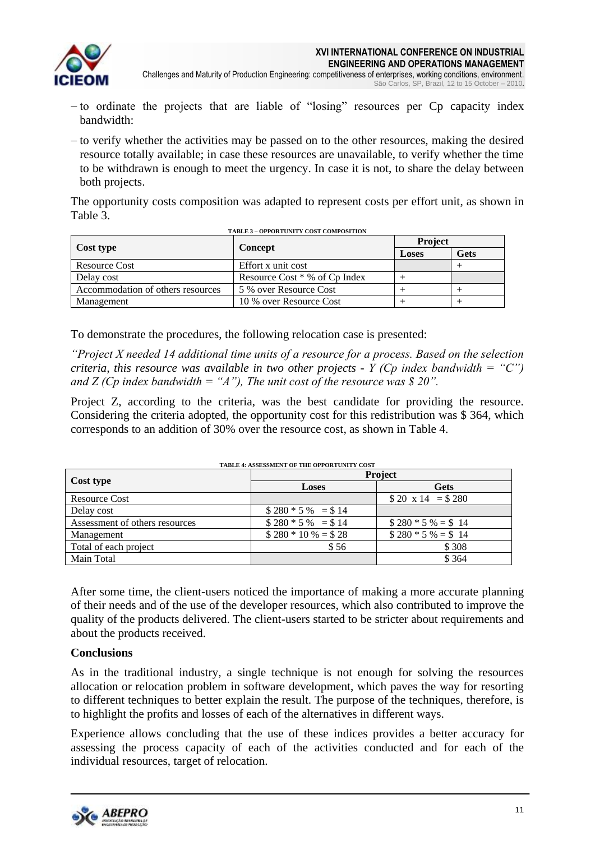

- Challenges and Maturity of Production Engineering: competitiveness of enterprises, working conditions, environment. São Carlos, SP, Brazil, 12 to 15 October – 2010.
- to ordinate the projects that are liable of "losing" resources per Cp capacity index bandwidth:
- $-$  to verify whether the activities may be passed on to the other resources, making the desired resource totally available; in case these resources are unavailable, to verify whether the time to be withdrawn is enough to meet the urgency. In case it is not, to share the delay between both projects.

The opportunity costs composition was adapted to represent costs per effort unit, as shown in Table 3.

| <b>TABLE 3 - OPPORTUNITY COST COMPOSITION</b> |                               |                |      |  |
|-----------------------------------------------|-------------------------------|----------------|------|--|
|                                               |                               | <b>Project</b> |      |  |
| Cost type                                     | Concept                       | Loses          | Gets |  |
| Resource Cost                                 | Effort x unit cost            |                |      |  |
| Delay cost                                    | Resource Cost * % of Cp Index |                |      |  |
| Accommodation of others resources             | 5 % over Resource Cost        |                |      |  |
| Management                                    | 10 % over Resource Cost       |                |      |  |

To demonstrate the procedures, the following relocation case is presented:

*"Project X needed 14 additional time units of a resource for a process. Based on the selection criteria, this resource was available in two other projects - Y (Cp index bandwidth = "C")*  and Z (Cp index bandwidth = "A"), The unit cost of the resource was \$20".

Project Z, according to the criteria, was the best candidate for providing the resource. Considering the criteria adopted, the opportunity cost for this redistribution was \$ 364, which corresponds to an addition of 30% over the resource cost, as shown in Table 4.

| <b>TABLE 4: ASSESSMENT OF THE OPPORTUNITY COST</b> |                      |                        |  |  |
|----------------------------------------------------|----------------------|------------------------|--|--|
|                                                    | Project              |                        |  |  |
| Cost type                                          | <b>Loses</b>         | <b>Gets</b>            |  |  |
| Resource Cost                                      |                      | $$20 \times 14 = $280$ |  |  |
| Delay cost                                         | $$280 * 5 \% = $14$  |                        |  |  |
| Assessment of others resources                     | $$280 * 5 \% = $14$  | $$280 * 5 \% = $14$    |  |  |
| Management                                         | $$280 * 10 \% = $28$ | $$280 * 5 \% = $14$    |  |  |
| Total of each project                              | \$56                 | \$308                  |  |  |
| Main Total                                         |                      | \$364                  |  |  |

After some time, the client-users noticed the importance of making a more accurate planning of their needs and of the use of the developer resources, which also contributed to improve the quality of the products delivered. The client-users started to be stricter about requirements and about the products received.

### **Conclusions**

As in the traditional industry, a single technique is not enough for solving the resources allocation or relocation problem in software development, which paves the way for resorting to different techniques to better explain the result. The purpose of the techniques, therefore, is to highlight the profits and losses of each of the alternatives in different ways.

Experience allows concluding that the use of these indices provides a better accuracy for assessing the process capacity of each of the activities conducted and for each of the individual resources, target of relocation.

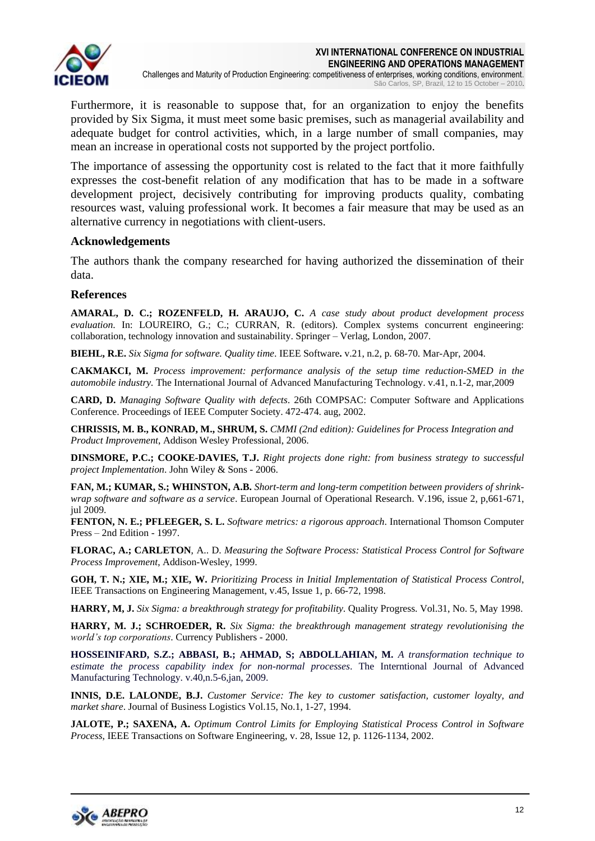

Furthermore, it is reasonable to suppose that, for an organization to enjoy the benefits provided by Six Sigma, it must meet some basic premises, such as managerial availability and adequate budget for control activities, which, in a large number of small companies, may mean an increase in operational costs not supported by the project portfolio.

The importance of assessing the opportunity cost is related to the fact that it more faithfully expresses the cost-benefit relation of any modification that has to be made in a software development project, decisively contributing for improving products quality, combating resources wast, valuing professional work. It becomes a fair measure that may be used as an alternative currency in negotiations with client-users.

### **Acknowledgements**

The authors thank the company researched for having authorized the dissemination of their data.

### **References**

**AMARAL, D. C.; ROZENFELD, H. ARAUJO, C.** *A case study about product development process evaluation*. In: LOUREIRO, G.; C.; CURRAN, R. (editors). Complex systems concurrent engineering: collaboration, technology innovation and sustainability. Springer – Verlag, London, 2007.

**BIEHL, R.E.** *Six Sigma for software. Quality time*. IEEE Software**.** v.21, n.2, p. 68-70. Mar-Apr, 2004.

**CAKMAKCI, M.** *Process improvement: performance analysis of the setup time reduction-SMED in the automobile industry.* The International Journal of Advanced Manufacturing Technology. v.41, n.1-2, mar,2009

**CARD, D.** *Managing Software Quality with defects*. 26th COMPSAC: Computer Software and Applications Conference. Proceedings of IEEE Computer Society. 472-474. aug, 2002.

**CHRISSIS, M. B., KONRAD, M., SHRUM, S.** *CMMI (2nd edition): Guidelines for Process Integration and Product Improvement*, Addison Wesley Professional, 2006.

**DINSMORE, P.C.; COOKE-DAVIES, T.J.** *Right projects done right: from business strategy to successful project Implementation*. John Wiley & Sons - 2006.

**FAN, M.; KUMAR, S.; WHINSTON, A.B.** *Short-term and long-term competition between providers of shrinkwrap software and software as a service*. European Journal of Operational Research. V.196, issue 2, p,661-671, iul 2009.

**FENTON, N. E.; PFLEEGER, S. L.** *Software metrics: a rigorous approach*. International Thomson Computer Press – 2nd Edition - 1997.

**FLORAC, A.; CARLETON**, A.. D. *Measuring the Software Process: Statistical Process Control for Software Process Improvement*, Addison-Wesley, 1999.

**GOH, T. N.; XIE, M.; XIE, W.** *Prioritizing Process in Initial Implementation of Statistical Process Control*, IEEE Transactions on Engineering Management, v.45, Issue 1, p. 66-72, 1998.

**HARRY, M, J.** *Six Sigma: a breakthrough strategy for profitability*. Quality Progress. Vol.31, No. 5, May 1998.

**HARRY, M. J.; SCHROEDER, R.** *Six Sigma: the breakthrough management strategy revolutionising the world's top corporations*. Currency Publishers - 2000.

**HOSSEINIFARD, S.Z.; ABBASI, B.; AHMAD, S; ABDOLLAHIAN, M.** *A transformation technique to estimate the process capability index for non-normal processes*. The Interntional Journal of Advanced Manufacturing Technology. v.40, n.5-6, jan, 2009.

**INNIS, D.E. LALONDE, B.J.** *Customer Service: The key to customer satisfaction, customer loyalty, and market share*. Journal of Business Logistics Vol.15, No.1, 1-27, 1994.

**JALOTE, P.; SAXENA, A.** *Optimum Control Limits for Employing Statistical Process Control in Software Process*, IEEE Transactions on Software Engineering, v. 28, Issue 12, p. 1126-1134, 2002.